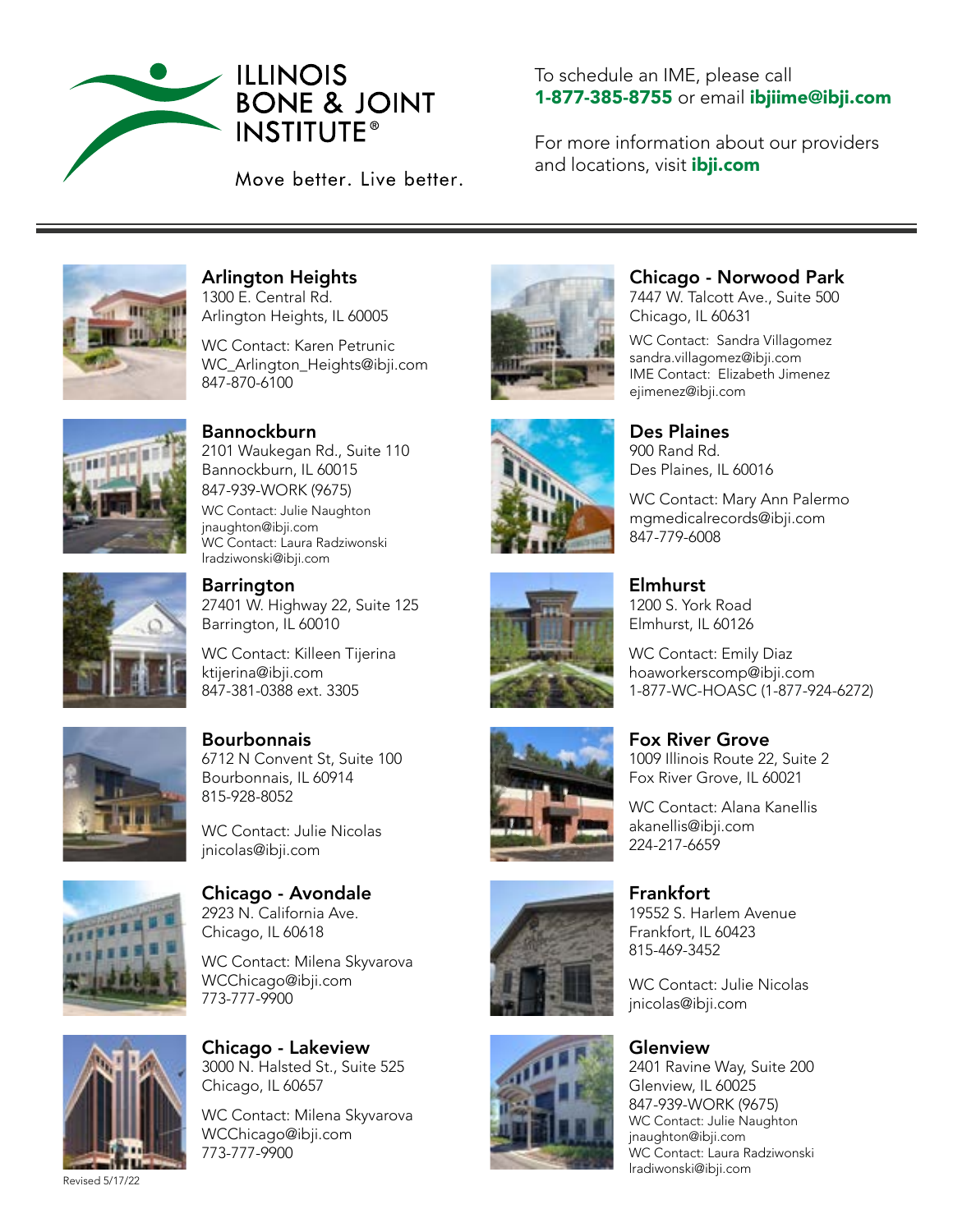

### To schedule an IME, please call 1-877-385-8755 or email ibjiime@ibji.com

For more information about our providers and locations, visit *ibji.com* 



Arlington Heights 1300 E. Central Rd. Arlington Heights, IL 60005

WC Contact: Karen Petrunic WC Arlington Heights@ibji.com 847-870-6100



**Bannockburn** 

lradziwonski@ibji.com

2101 Waukegan Rd., Suite 110 Bannockburn, IL 60015 847-939-WORK (9675) WC Contact: Julie Naughton jnaughton@ibji.com WC Contact: Laura Radziwonski



**Barrington** 27401 W. Highway 22, Suite 125 Barrington, IL 60010

WC Contact: Killeen Tijerina ktijerina@ibji.com 847-381-0388 ext. 3305



**Bourbonnais** 6712 N Convent St, Suite 100 Bourbonnais, IL 60914 815-928-8052

WC Contact: Julie Nicolas jnicolas@ibji.com



Chicago - Avondale 2923 N. California Ave. Chicago, IL 60618

WC Contact: Milena Skyvarova WCChicago@ibji.com 773-777-9900



Revised 5/17/22

Chicago - Lakeview 3000 N. Halsted St., Suite 525 Chicago, IL 60657

WC Contact: Milena Skyvarova WCChicago@ibji.com 773-777-9900













## Chicago - Norwood Park

7447 W. Talcott Ave., Suite 500 Chicago, IL 60631

WC Contact: Sandra Villagomez sandra.villagomez@ibji.com IME Contact: Elizabeth Jimenez ejimenez@ibji.com

Des Plaines 900 Rand Rd. Des Plaines, IL 60016

WC Contact: Mary Ann Palermo mgmedicalrecords@ibji.com 847-779-6008

Elmhurst 1200 S. York Road Elmhurst, IL 60126

WC Contact: Emily Diaz hoaworkerscomp@ibji.com 1-877-WC-HOASC (1-877-924-6272)

Fox River Grove 1009 Illinois Route 22, Suite 2 Fox River Grove, IL 60021

WC Contact: Alana Kanellis akanellis@ibji.com 224-217-6659

**Frankfort** 19552 S. Harlem Avenue Frankfort, IL 60423 815-469-3452

WC Contact: Julie Nicolas jnicolas@ibji.com

### Glenview

2401 Ravine Way, Suite 200 Glenview, IL 60025 847-939-WORK (9675) WC Contact: Julie Naughton jnaughton@ibji.com WC Contact: Laura Radziwonski lradiwonski@ibji.com